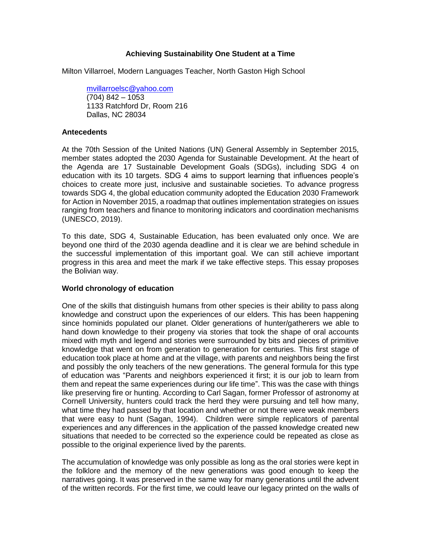# **Achieving Sustainability One Student at a Time**

Milton Villarroel, Modern Languages Teacher, North Gaston High School

[mvillarroelsc@yahoo.com](mailto:mvillarroelsc@yahoo.com) (704) 842 – 1053 1133 Ratchford Dr, Room 216 Dallas, NC 28034

### **Antecedents**

At the 70th Session of the United Nations (UN) General Assembly in September 2015, member states adopted the 2030 Agenda for Sustainable Development. At the heart of the Agenda are 17 Sustainable Development Goals (SDGs), including SDG 4 on education with its 10 targets. SDG 4 aims to support learning that influences people's choices to create more just, inclusive and sustainable societies. To advance progress towards SDG 4, the global education community adopted the Education 2030 Framework for Action in November 2015, a roadmap that outlines implementation strategies on issues ranging from teachers and finance to monitoring indicators and coordination mechanisms (UNESCO, 2019).

To this date, SDG 4, Sustainable Education, has been evaluated only once. We are beyond one third of the 2030 agenda deadline and it is clear we are behind schedule in the successful implementation of this important goal. We can still achieve important progress in this area and meet the mark if we take effective steps. This essay proposes the Bolivian way.

### **World chronology of education**

One of the skills that distinguish humans from other species is their ability to pass along knowledge and construct upon the experiences of our elders. This has been happening since hominids populated our planet. Older generations of hunter/gatherers we able to hand down knowledge to their progeny via stories that took the shape of oral accounts mixed with myth and legend and stories were surrounded by bits and pieces of primitive knowledge that went on from generation to generation for centuries. This first stage of education took place at home and at the village, with parents and neighbors being the first and possibly the only teachers of the new generations. The general formula for this type of education was "Parents and neighbors experienced it first; it is our job to learn from them and repeat the same experiences during our life time". This was the case with things like preserving fire or hunting. According to Carl Sagan, former Professor of astronomy at Cornell University, hunters could track the herd they were pursuing and tell how many, what time they had passed by that location and whether or not there were weak members that were easy to hunt (Sagan, 1994). Children were simple replicators of parental experiences and any differences in the application of the passed knowledge created new situations that needed to be corrected so the experience could be repeated as close as possible to the original experience lived by the parents.

The accumulation of knowledge was only possible as long as the oral stories were kept in the folklore and the memory of the new generations was good enough to keep the narratives going. It was preserved in the same way for many generations until the advent of the written records. For the first time, we could leave our legacy printed on the walls of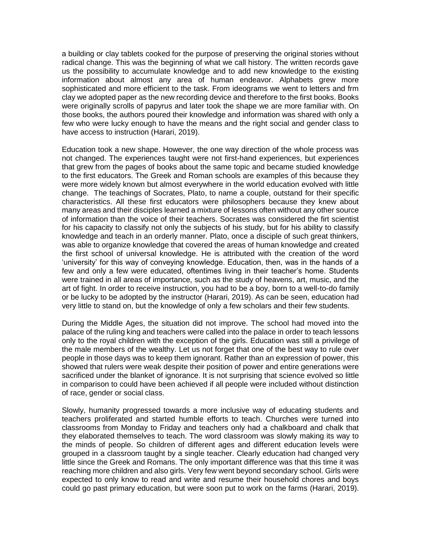a building or clay tablets cooked for the purpose of preserving the original stories without radical change. This was the beginning of what we call history. The written records gave us the possibility to accumulate knowledge and to add new knowledge to the existing information about almost any area of human endeavor. Alphabets grew more sophisticated and more efficient to the task. From ideograms we went to letters and frm clay we adopted paper as the new recording device and therefore to the first books. Books were originally scrolls of papyrus and later took the shape we are more familiar with. On those books, the authors poured their knowledge and information was shared with only a few who were lucky enough to have the means and the right social and gender class to have access to instruction (Harari, 2019).

Education took a new shape. However, the one way direction of the whole process was not changed. The experiences taught were not first-hand experiences, but experiences that grew from the pages of books about the same topic and became studied knowledge to the first educators. The Greek and Roman schools are examples of this because they were more widely known but almost everywhere in the world education evolved with little change. The teachings of Socrates, Plato, to name a couple, outstand for their specific characteristics. All these first educators were philosophers because they knew about many areas and their disciples learned a mixture of lessons often without any other source of information than the voice of their teachers. Socrates was considered the firt scientist for his capacity to classify not only the subjects of his study, but for his ability to classify knowledge and teach in an orderly manner. Plato, once a disciple of such great thinkers, was able to organize knowledge that covered the areas of human knowledge and created the first school of universal knowledge. He is attributed with the creation of the word 'university' for this way of conveying knowledge. Education, then, was in the hands of a few and only a few were educated, oftentimes living in their teacher's home. Students were trained in all areas of importance, such as the study of heavens, art, music, and the art of fight. In order to receive instruction, you had to be a boy, born to a well-to-do family or be lucky to be adopted by the instructor (Harari, 2019). As can be seen, education had very little to stand on, but the knowledge of only a few scholars and their few students.

During the Middle Ages, the situation did not improve. The school had moved into the palace of the ruling king and teachers were called into the palace in order to teach lessons only to the royal children with the exception of the girls. Education was still a privilege of the male members of the wealthy. Let us not forget that one of the best way to rule over people in those days was to keep them ignorant. Rather than an expression of power, this showed that rulers were weak despite their position of power and entire generations were sacrificed under the blanket of ignorance. It is not surprising that science evolved so little in comparison to could have been achieved if all people were included without distinction of race, gender or social class.

Slowly, humanity progressed towards a more inclusive way of educating students and teachers proliferated and started humble efforts to teach. Churches were turned into classrooms from Monday to Friday and teachers only had a chalkboard and chalk that they elaborated themselves to teach. The word classroom was slowly making its way to the minds of people. So children of different ages and different education levels were grouped in a classroom taught by a single teacher. Clearly education had changed very little since the Greek and Romans. The only important difference was that this time it was reaching more children and also girls. Very few went beyond secondary school. Girls were expected to only know to read and write and resume their household chores and boys could go past primary education, but were soon put to work on the farms (Harari, 2019).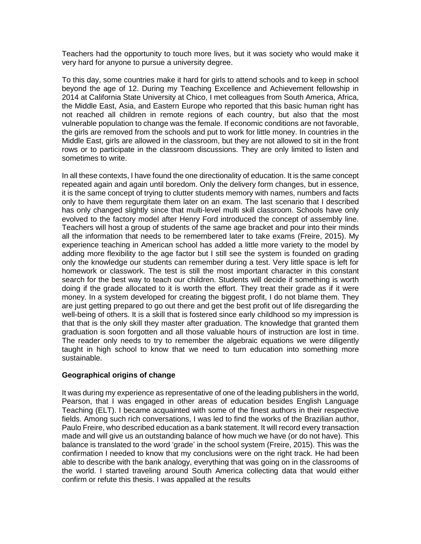Teachers had the opportunity to touch more lives, but it was society who would make it very hard for anyone to pursue a university degree.

To this day, some countries make it hard for girls to attend schools and to keep in school beyond the age of 12. During my Teaching Excellence and Achievement fellowship in 2014 at California State University at Chico, I met colleagues from South America, Africa, the Middle East, Asia, and Eastern Europe who reported that this basic human right has not reached all children in remote regions of each country, but also that the most vulnerable population to change was the female. If economic conditions are not favorable, the girls are removed from the schools and put to work for little money. In countries in the Middle East, girls are allowed in the classroom, but they are not allowed to sit in the front rows or to participate in the classroom discussions. They are only limited to listen and sometimes to write.

In all these contexts, I have found the one directionality of education. It is the same concept repeated again and again until boredom. Only the delivery form changes, but in essence, it is the same concept of trying to clutter students memory with names, numbers and facts only to have them regurgitate them later on an exam. The last scenario that I described has only changed slightly since that multi-level multi skill classroom. Schools have only evolved to the factory model after Henry Ford introduced the concept of assembly line. Teachers will host a group of students of the same age bracket and pour into their minds all the information that needs to be remembered later to take exams (Freire, 2015). My experience teaching in American school has added a little more variety to the model by adding more flexibility to the age factor but I still see the system is founded on grading only the knowledge our students can remember during a test. Very little space is left for homework or classwork. The test is still the most important character in this constant search for the best way to teach our children. Students will decide if something is worth doing if the grade allocated to it is worth the effort. They treat their grade as if it were money. In a system developed for creating the biggest profit, I do not blame them. They are just getting prepared to go out there and get the best profit out of life disregarding the well-being of others. It is a skill that is fostered since early childhood so my impression is that that is the only skill they master after graduation. The knowledge that granted them graduation is soon forgotten and all those valuable hours of instruction are lost in time. The reader only needs to try to remember the algebraic equations we were diligently taught in high school to know that we need to turn education into something more sustainable.

# **Geographical origins of change**

It was during my experience as representative of one of the leading publishers in the world, Pearson, that I was engaged in other areas of education besides English Language Teaching (ELT). I became acquainted with some of the finest authors in their respective fields. Among such rich conversations, I was led to find the works of the Brazilian author, Paulo Freire, who described education as a bank statement. It will record every transaction made and will give us an outstanding balance of how much we have (or do not have). This balance is translated to the word 'grade' in the school system (Freire, 2015). This was the confirmation I needed to know that my conclusions were on the right track. He had been able to describe with the bank analogy, everything that was going on in the classrooms of the world. I started traveling around South America collecting data that would either confirm or refute this thesis. I was appalled at the results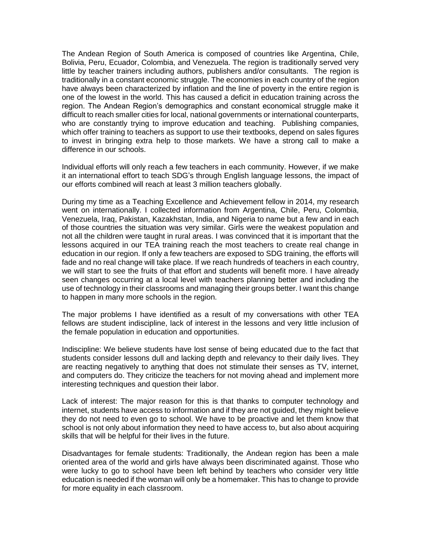The Andean Region of South America is composed of countries like Argentina, Chile, Bolivia, Peru, Ecuador, Colombia, and Venezuela. The region is traditionally served very little by teacher trainers including authors, publishers and/or consultants. The region is traditionally in a constant economic struggle. The economies in each country of the region have always been characterized by inflation and the line of poverty in the entire region is one of the lowest in the world. This has caused a deficit in education training across the region. The Andean Region's demographics and constant economical struggle make it difficult to reach smaller cities for local, national governments or international counterparts, who are constantly trying to improve education and teaching. Publishing companies, which offer training to teachers as support to use their textbooks, depend on sales figures to invest in bringing extra help to those markets. We have a strong call to make a difference in our schools.

Individual efforts will only reach a few teachers in each community. However, if we make it an international effort to teach SDG's through English language lessons, the impact of our efforts combined will reach at least 3 million teachers globally.

During my time as a Teaching Excellence and Achievement fellow in 2014, my research went on internationally. I collected information from Argentina, Chile, Peru, Colombia, Venezuela, Iraq, Pakistan, Kazakhstan, India, and Nigeria to name but a few and in each of those countries the situation was very similar. Girls were the weakest population and not all the children were taught in rural areas. I was convinced that it is important that the lessons acquired in our TEA training reach the most teachers to create real change in education in our region. If only a few teachers are exposed to SDG training, the efforts will fade and no real change will take place. If we reach hundreds of teachers in each country, we will start to see the fruits of that effort and students will benefit more. I have already seen changes occurring at a local level with teachers planning better and including the use of technology in their classrooms and managing their groups better. I want this change to happen in many more schools in the region.

The major problems I have identified as a result of my conversations with other TEA fellows are student indiscipline, lack of interest in the lessons and very little inclusion of the female population in education and opportunities.

Indiscipline: We believe students have lost sense of being educated due to the fact that students consider lessons dull and lacking depth and relevancy to their daily lives. They are reacting negatively to anything that does not stimulate their senses as TV, internet, and computers do. They criticize the teachers for not moving ahead and implement more interesting techniques and question their labor.

Lack of interest: The major reason for this is that thanks to computer technology and internet, students have access to information and if they are not guided, they might believe they do not need to even go to school. We have to be proactive and let them know that school is not only about information they need to have access to, but also about acquiring skills that will be helpful for their lives in the future.

Disadvantages for female students: Traditionally, the Andean region has been a male oriented area of the world and girls have always been discriminated against. Those who were lucky to go to school have been left behind by teachers who consider very little education is needed if the woman will only be a homemaker. This has to change to provide for more equality in each classroom.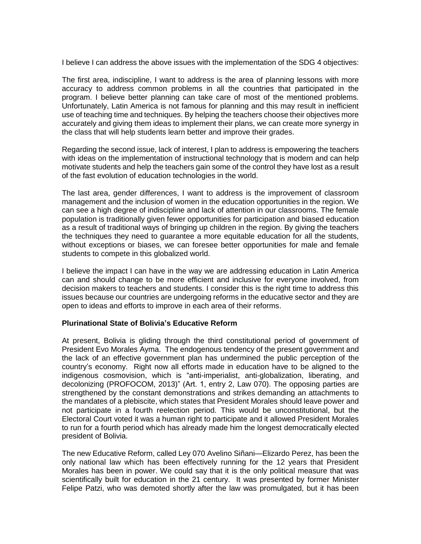I believe I can address the above issues with the implementation of the SDG 4 objectives:

The first area, indiscipline, I want to address is the area of planning lessons with more accuracy to address common problems in all the countries that participated in the program. I believe better planning can take care of most of the mentioned problems. Unfortunately, Latin America is not famous for planning and this may result in inefficient use of teaching time and techniques. By helping the teachers choose their objectives more accurately and giving them ideas to implement their plans, we can create more synergy in the class that will help students learn better and improve their grades.

Regarding the second issue, lack of interest, I plan to address is empowering the teachers with ideas on the implementation of instructional technology that is modern and can help motivate students and help the teachers gain some of the control they have lost as a result of the fast evolution of education technologies in the world.

The last area, gender differences, I want to address is the improvement of classroom management and the inclusion of women in the education opportunities in the region. We can see a high degree of indiscipline and lack of attention in our classrooms. The female population is traditionally given fewer opportunities for participation and biased education as a result of traditional ways of bringing up children in the region. By giving the teachers the techniques they need to guarantee a more equitable education for all the students, without exceptions or biases, we can foresee better opportunities for male and female students to compete in this globalized world.

I believe the impact I can have in the way we are addressing education in Latin America can and should change to be more efficient and inclusive for everyone involved, from decision makers to teachers and students. I consider this is the right time to address this issues because our countries are undergoing reforms in the educative sector and they are open to ideas and efforts to improve in each area of their reforms.

# **Plurinational State of Bolivia's Educative Reform**

At present, Bolivia is gliding through the third constitutional period of government of President Evo Morales Ayma. The endogenous tendency of the present government and the lack of an effective government plan has undermined the public perception of the country's economy. Right now all efforts made in education have to be aligned to the indigenous cosmovision, which is "anti-imperialist, anti-globalization, liberating, and decolonizing (PROFOCOM, 2013)" (Art. 1, entry 2, Law 070). The opposing parties are strengthened by the constant demonstrations and strikes demanding an attachments to the mandates of a plebiscite, which states that President Morales should leave power and not participate in a fourth reelection period. This would be unconstitutional, but the Electoral Court voted it was a human right to participate and it allowed President Morales to run for a fourth period which has already made him the longest democratically elected president of Bolivia.

The new Educative Reform, called Ley 070 Avelino Siñani—Elizardo Perez, has been the only national law which has been effectively running for the 12 years that President Morales has been in power. We could say that it is the only political measure that was scientifically built for education in the 21 century. It was presented by former Minister Felipe Patzi, who was demoted shortly after the law was promulgated, but it has been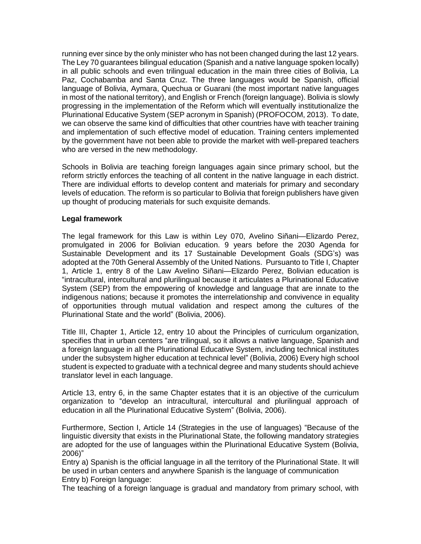running ever since by the only minister who has not been changed during the last 12 years. The Ley 70 guarantees bilingual education (Spanish and a native language spoken locally) in all public schools and even trilingual education in the main three cities of Bolivia, La Paz, Cochabamba and Santa Cruz. The three languages would be Spanish, official language of Bolivia, Aymara, Quechua or Guarani (the most important native languages in most of the national territory), and English or French (foreign language). Bolivia is slowly progressing in the implementation of the Reform which will eventually institutionalize the Plurinational Educative System (SEP acronym in Spanish) (PROFOCOM, 2013). To date, we can observe the same kind of difficulties that other countries have with teacher training and implementation of such effective model of education. Training centers implemented by the government have not been able to provide the market with well-prepared teachers who are versed in the new methodology.

Schools in Bolivia are teaching foreign languages again since primary school, but the reform strictly enforces the teaching of all content in the native language in each district. There are individual efforts to develop content and materials for primary and secondary levels of education. The reform is so particular to Bolivia that foreign publishers have given up thought of producing materials for such exquisite demands.

### **Legal framework**

The legal framework for this Law is within Ley 070, Avelino Siñani—Elizardo Perez, promulgated in 2006 for Bolivian education. 9 years before the 2030 Agenda for Sustainable Development and its 17 Sustainable Development Goals (SDG's) was adopted at the 70th General Assembly of the United Nations. Pursuanto to Title I, Chapter 1, Article 1, entry 8 of the Law Avelino Siñani—Elizardo Perez, Bolivian education is "intracultural, intercultural and plurilingual because it articulates a Plurinational Educative System (SEP) from the empowering of knowledge and language that are innate to the indigenous nations; because it promotes the interrelationship and convivence in equality of opportunities through mutual validation and respect among the cultures of the Plurinational State and the world" (Bolivia, 2006).

Title III, Chapter 1, Article 12, entry 10 about the Principles of curriculum organization, specifies that in urban centers "are trilingual, so it allows a native language, Spanish and a foreign language in all the Plurinational Educative System, including technical institutes under the subsystem higher education at technical level" (Bolivia, 2006) Every high school student is expected to graduate with a technical degree and many students should achieve translator level in each language.

Article 13, entry 6, in the same Chapter estates that it is an objective of the curriculum organization to "develop an intracultural, intercultural and plurilingual approach of education in all the Plurinational Educative System" (Bolivia, 2006).

Furthermore, Section I, Article 14 (Strategies in the use of languages) "Because of the linguistic diversity that exists in the Plurinational State, the following mandatory strategies are adopted for the use of languages within the Plurinational Educative System (Bolivia, 2006)"

Entry a) Spanish is the official language in all the territory of the Plurinational State. It will be used in urban centers and anywhere Spanish is the language of communication Entry b) Foreign language:

The teaching of a foreign language is gradual and mandatory from primary school, with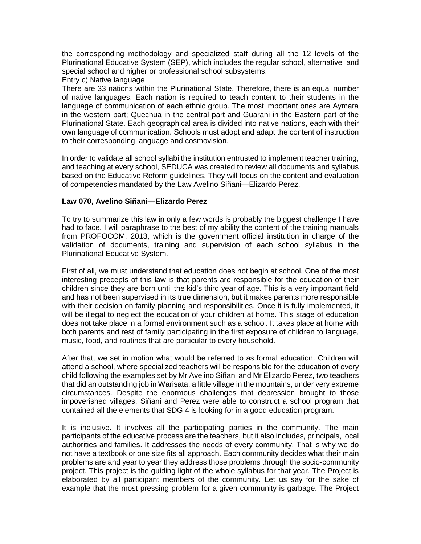the corresponding methodology and specialized staff during all the 12 levels of the Plurinational Educative System (SEP), which includes the regular school, alternative and special school and higher or professional school subsystems.

### Entry c) Native language

There are 33 nations within the Plurinational State. Therefore, there is an equal number of native languages. Each nation is required to teach content to their students in the language of communication of each ethnic group. The most important ones are Aymara in the western part; Quechua in the central part and Guarani in the Eastern part of the Plurinational State. Each geographical area is divided into native nations, each with their own language of communication. Schools must adopt and adapt the content of instruction to their corresponding language and cosmovision.

In order to validate all school syllabi the institution entrusted to implement teacher training, and teaching at every school, SEDUCA was created to review all documents and syllabus based on the Educative Reform guidelines. They will focus on the content and evaluation of competencies mandated by the Law Avelino Siñani—Elizardo Perez.

### **Law 070, Avelino Siñani—Elizardo Perez**

To try to summarize this law in only a few words is probably the biggest challenge I have had to face. I will paraphrase to the best of my ability the content of the training manuals from PROFOCOM, 2013, which is the government official institution in charge of the validation of documents, training and supervision of each school syllabus in the Plurinational Educative System.

First of all, we must understand that education does not begin at school. One of the most interesting precepts of this law is that parents are responsible for the education of their children since they are born until the kid's third year of age. This is a very important field and has not been supervised in its true dimension, but it makes parents more responsible with their decision on family planning and responsibilities. Once it is fully implemented, it will be illegal to neglect the education of your children at home. This stage of education does not take place in a formal environment such as a school. It takes place at home with both parents and rest of family participating in the first exposure of children to language, music, food, and routines that are particular to every household.

After that, we set in motion what would be referred to as formal education. Children will attend a school, where specialized teachers will be responsible for the education of every child following the examples set by Mr Avelino Siñani and Mr Elizardo Perez, two teachers that did an outstanding job in Warisata, a little village in the mountains, under very extreme circumstances. Despite the enormous challenges that depression brought to those impoverished villages, Siñani and Perez were able to construct a school program that contained all the elements that SDG 4 is looking for in a good education program.

It is inclusive. It involves all the participating parties in the community. The main participants of the educative process are the teachers, but it also includes, principals, local authorities and families. It addresses the needs of every community. That is why we do not have a textbook or one size fits all approach. Each community decides what their main problems are and year to year they address those problems through the socio-community project. This project is the guiding light of the whole syllabus for that year. The Project is elaborated by all participant members of the community. Let us say for the sake of example that the most pressing problem for a given community is garbage. The Project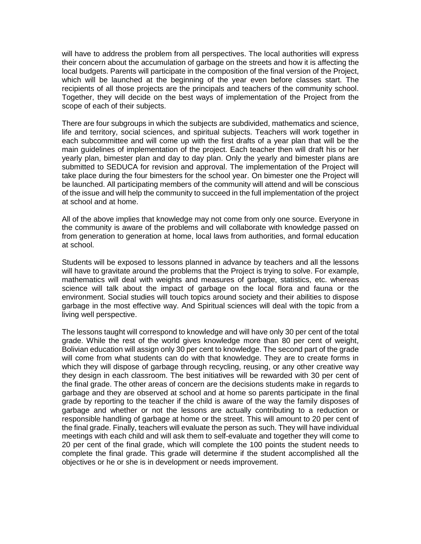will have to address the problem from all perspectives. The local authorities will express their concern about the accumulation of garbage on the streets and how it is affecting the local budgets. Parents will participate in the composition of the final version of the Project, which will be launched at the beginning of the year even before classes start. The recipients of all those projects are the principals and teachers of the community school. Together, they will decide on the best ways of implementation of the Project from the scope of each of their subjects.

There are four subgroups in which the subjects are subdivided, mathematics and science, life and territory, social sciences, and spiritual subjects. Teachers will work together in each subcommittee and will come up with the first drafts of a year plan that will be the main guidelines of implementation of the project. Each teacher then will draft his or her yearly plan, bimester plan and day to day plan. Only the yearly and bimester plans are submitted to SEDUCA for revision and approval. The implementation of the Project will take place during the four bimesters for the school year. On bimester one the Project will be launched. All participating members of the community will attend and will be conscious of the issue and will help the community to succeed in the full implementation of the project at school and at home.

All of the above implies that knowledge may not come from only one source. Everyone in the community is aware of the problems and will collaborate with knowledge passed on from generation to generation at home, local laws from authorities, and formal education at school.

Students will be exposed to lessons planned in advance by teachers and all the lessons will have to gravitate around the problems that the Project is trying to solve. For example, mathematics will deal with weights and measures of garbage, statistics, etc. whereas science will talk about the impact of garbage on the local flora and fauna or the environment. Social studies will touch topics around society and their abilities to dispose garbage in the most effective way. And Spiritual sciences will deal with the topic from a living well perspective.

The lessons taught will correspond to knowledge and will have only 30 per cent of the total grade. While the rest of the world gives knowledge more than 80 per cent of weight, Bolivian education will assign only 30 per cent to knowledge. The second part of the grade will come from what students can do with that knowledge. They are to create forms in which they will dispose of garbage through recycling, reusing, or any other creative way they design in each classroom. The best initiatives will be rewarded with 30 per cent of the final grade. The other areas of concern are the decisions students make in regards to garbage and they are observed at school and at home so parents participate in the final grade by reporting to the teacher if the child is aware of the way the family disposes of garbage and whether or not the lessons are actually contributing to a reduction or responsible handling of garbage at home or the street. This will amount to 20 per cent of the final grade. Finally, teachers will evaluate the person as such. They will have individual meetings with each child and will ask them to self-evaluate and together they will come to 20 per cent of the final grade, which will complete the 100 points the student needs to complete the final grade. This grade will determine if the student accomplished all the objectives or he or she is in development or needs improvement.